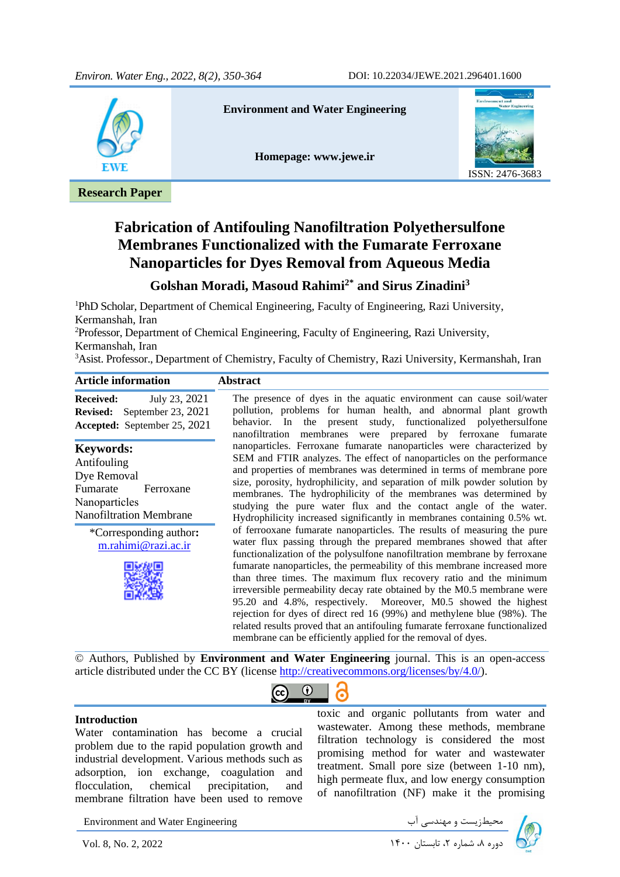

**Research Paper**

#### **Environment and Water Engineering**

**Homepage: [www.jewe.ir](http://www.jewe.ir/)**



# **Fabrication of Antifouling Nanofiltration Polyethersulfone Membranes Functionalized with the Fumarate Ferroxane Nanoparticles for Dyes Removal from Aqueous Media**

## **Golshan Moradi, Masoud Rahimi2\* and Sirus Zinadini<sup>3</sup>**

<sup>1</sup>PhD Scholar, Department of Chemical Engineering, Faculty of Engineering, Razi University, Kermanshah, Iran

<sup>2</sup>Professor, Department of Chemical Engineering, Faculty of Engineering, Razi University, Kermanshah, Iran

<sup>3</sup>Asist. Professor., Department of Chemistry, Faculty of Chemistry, Razi University, Kermanshah, Iran

| <b>Article information</b>                    | <b>Abstract</b>                                                                                                                                                                                                                                                                                                                                                                                                                                                                                                                                                                                                                                                                                                                                       |  |
|-----------------------------------------------|-------------------------------------------------------------------------------------------------------------------------------------------------------------------------------------------------------------------------------------------------------------------------------------------------------------------------------------------------------------------------------------------------------------------------------------------------------------------------------------------------------------------------------------------------------------------------------------------------------------------------------------------------------------------------------------------------------------------------------------------------------|--|
| July 23, 2021                                 | The presence of dyes in the aquatic environment can cause soil/water                                                                                                                                                                                                                                                                                                                                                                                                                                                                                                                                                                                                                                                                                  |  |
| <b>Received:</b>                              | pollution, problems for human health, and abnormal plant growth                                                                                                                                                                                                                                                                                                                                                                                                                                                                                                                                                                                                                                                                                       |  |
| <b>Revised:</b> September 23, 2021            | behavior. In the present study, functionalized polyethersulfone                                                                                                                                                                                                                                                                                                                                                                                                                                                                                                                                                                                                                                                                                       |  |
| <b>Accepted:</b> September 25, 2021           | nanofiltration membranes were prepared by ferroxane fumarate                                                                                                                                                                                                                                                                                                                                                                                                                                                                                                                                                                                                                                                                                          |  |
| <b>Keywords:</b>                              | nanoparticles. Ferroxane fumarate nanoparticles were characterized by                                                                                                                                                                                                                                                                                                                                                                                                                                                                                                                                                                                                                                                                                 |  |
| Antifouling                                   | SEM and FTIR analyzes. The effect of nanoparticles on the performance                                                                                                                                                                                                                                                                                                                                                                                                                                                                                                                                                                                                                                                                                 |  |
| Dye Removal                                   | and properties of membranes was determined in terms of membrane pore                                                                                                                                                                                                                                                                                                                                                                                                                                                                                                                                                                                                                                                                                  |  |
| Fumarate                                      | size, porosity, hydrophilicity, and separation of milk powder solution by                                                                                                                                                                                                                                                                                                                                                                                                                                                                                                                                                                                                                                                                             |  |
| Ferroxane                                     | membranes. The hydrophilicity of the membranes was determined by                                                                                                                                                                                                                                                                                                                                                                                                                                                                                                                                                                                                                                                                                      |  |
| Nanoparticles                                 | studying the pure water flux and the contact angle of the water.                                                                                                                                                                                                                                                                                                                                                                                                                                                                                                                                                                                                                                                                                      |  |
| <b>Nanofiltration Membrane</b>                | Hydrophilicity increased significantly in membranes containing 0.5% wt.                                                                                                                                                                                                                                                                                                                                                                                                                                                                                                                                                                                                                                                                               |  |
| *Corresponding author:<br>m.rahimi@razi.ac.ir | of ferrooxane fumarate nanoparticles. The results of measuring the pure<br>water flux passing through the prepared membranes showed that after<br>functionalization of the polysulfone nanofiltration membrane by ferroxane<br>fumarate nanoparticles, the permeability of this membrane increased more<br>than three times. The maximum flux recovery ratio and the minimum<br>irreversible permeability decay rate obtained by the M0.5 membrane were<br>95.20 and 4.8%, respectively. Moreover, M0.5 showed the highest<br>rejection for dyes of direct red 16 (99%) and methylene blue (98%). The<br>related results proved that an antifouling fumarate ferroxane functionalized<br>membrane can be efficiently applied for the removal of dyes. |  |

© Authors, Published by **Environment and Water Engineering** journal. This is an open-access article distributed under the CC BY (license [http://creativecommons.org/licenses/by/4.0/\)](http://creativecommons.org/licenses/by/4.0/).

 $\bf{r}$ 

 $\left( \overline{c}\right)$ 

l,

ලි

#### **Introduction**

Water contamination has become a crucial problem due to the rapid population growth and industrial development. Various methods such as adsorption, ion exchange, coagulation and flocculation, chemical precipitation, and membrane filtration have been used to remove

toxic and organic pollutants from water and wastewater. Among these methods, membrane filtration technology is considered the most promising method for water and wastewater treatment. Small pore size (between 1-10 nm), high permeate flux, and low energy consumption of nanofiltration (NF) make it the promising

Environment and Water Engineering دی الله محیطزیست و مهندسی آب سماره استان ۱۴۰۰ تابستان ۱۳۹۰ Environment and Water Engineering<br>توره ۸، شماره ۲، تابستان ۱۴۰۰ استان ۱۴۰۰

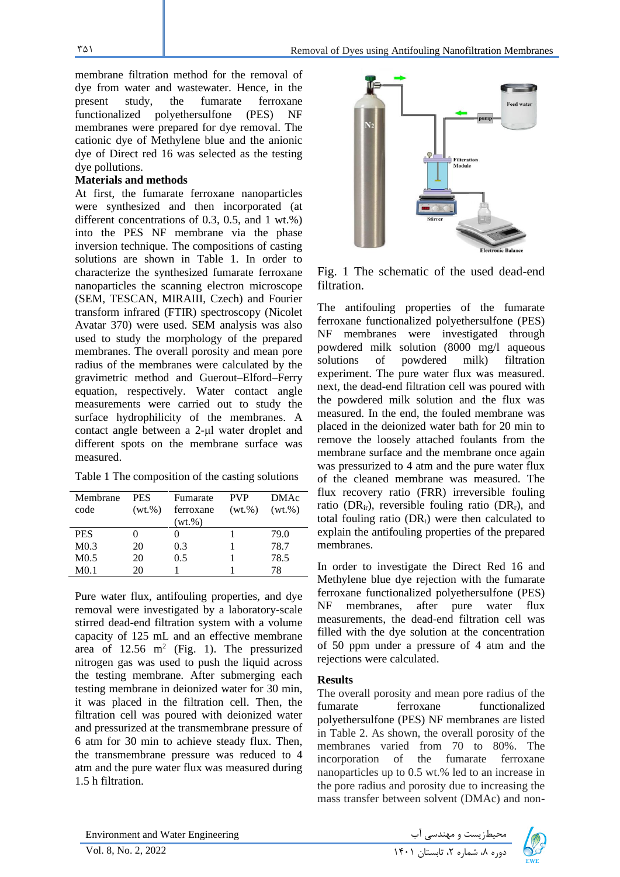membrane filtration method for the removal of dye from water and wastewater. Hence, in the present study, the fumarate ferroxane functionalized polyethersulfone (PES) NF membranes were prepared for dye removal. The cationic dye of Methylene blue and the anionic dye of Direct red 16 was selected as the testing dye pollutions.

#### **Materials and methods**

At first, the fumarate ferroxane nanoparticles were synthesized and then incorporated (at different concentrations of 0.3, 0.5, and 1 wt.%) into the PES NF membrane via the phase inversion technique. The compositions of casting solutions are shown in Table 1. In order to characterize the synthesized fumarate ferroxane nanoparticles the scanning electron microscope (SEM, TESCAN, MIRAIII, Czech) and Fourier transform infrared (FTIR) spectroscopy (Nicolet Avatar 370) were used. SEM analysis was also used to study the morphology of the prepared membranes. The overall porosity and mean pore radius of the membranes were calculated by the gravimetric method and Guerout–Elford–Ferry equation, respectively. Water contact angle measurements were carried out to study the surface hydrophilicity of the membranes. A contact angle between a 2-μl water droplet and different spots on the membrane surface was measured.

|  |  |  | Table 1 The composition of the casting solutions |  |  |  |
|--|--|--|--------------------------------------------------|--|--|--|
|--|--|--|--------------------------------------------------|--|--|--|

| Membrane<br>code | <b>PES</b><br>$(wt.\%)$ | Fumarate<br>ferroxane<br>$(wt.\%)$ | <b>PVP</b><br>(wt.%) | <b>DMAc</b><br>$(wt.\%)$ |
|------------------|-------------------------|------------------------------------|----------------------|--------------------------|
| <b>PES</b>       |                         |                                    |                      | 79.0                     |
| M <sub>0.3</sub> | 20                      | 0.3                                |                      | 78.7                     |
| M <sub>0.5</sub> | 20                      | 0.5                                |                      | 78.5                     |
| M <sub>0.1</sub> | 20                      |                                    |                      | 78                       |

Pure water flux, antifouling properties, and dye removal were investigated by a laboratory-scale stirred dead-end filtration system with a volume capacity of 125 mL and an effective membrane area of  $12.56$  m<sup>2</sup> (Fig. 1). The pressurized nitrogen gas was used to push the liquid across the testing membrane. After submerging each testing membrane in deionized water for 30 min, it was placed in the filtration cell. Then, the filtration cell was poured with deionized water and pressurized at the transmembrane pressure of 6 atm for 30 min to achieve steady flux. Then, the transmembrane pressure was reduced to 4 atm and the pure water flux was measured during 1.5 h filtration.



Fig. 1 The schematic of the used dead-end filtration.

The antifouling properties of the fumarate ferroxane functionalized polyethersulfone (PES) NF membranes were investigated through powdered milk solution (8000 mg/l aqueous solutions of powdered milk) filtration experiment. The pure water flux was measured. next, the dead-end filtration cell was poured with the powdered milk solution and the flux was measured. In the end, the fouled membrane was placed in the deionized water bath for 20 min to remove the loosely attached foulants from the membrane surface and the membrane once again was pressurized to 4 atm and the pure water flux of the cleaned membrane was measured. The flux recovery ratio (FRR) irreversible fouling ratio ( $DR<sub>ir</sub>$ ), reversible fouling ratio ( $DR<sub>r</sub>$ ), and total fouling ratio  $(DR_t)$  were then calculated to explain the antifouling properties of the prepared membranes.

In order to investigate the Direct Red 16 and Methylene blue dye rejection with the fumarate ferroxane functionalized polyethersulfone (PES) NF membranes, after pure water flux measurements, the dead-end filtration cell was filled with the dye solution at the concentration of 50 ppm under a pressure of 4 atm and the rejections were calculated.

#### **Results**

The overall porosity and mean pore radius of the fumarate ferroxane functionalized polyethersulfone (PES) NF membranes are listed in Table 2. As shown, the overall porosity of the membranes varied from 70 to 80%. The incorporation of the fumarate ferroxane nanoparticles up to 0.5 wt.% led to an increase in the pore radius and porosity due to increasing the mass transfer between solvent (DMAc) and non-

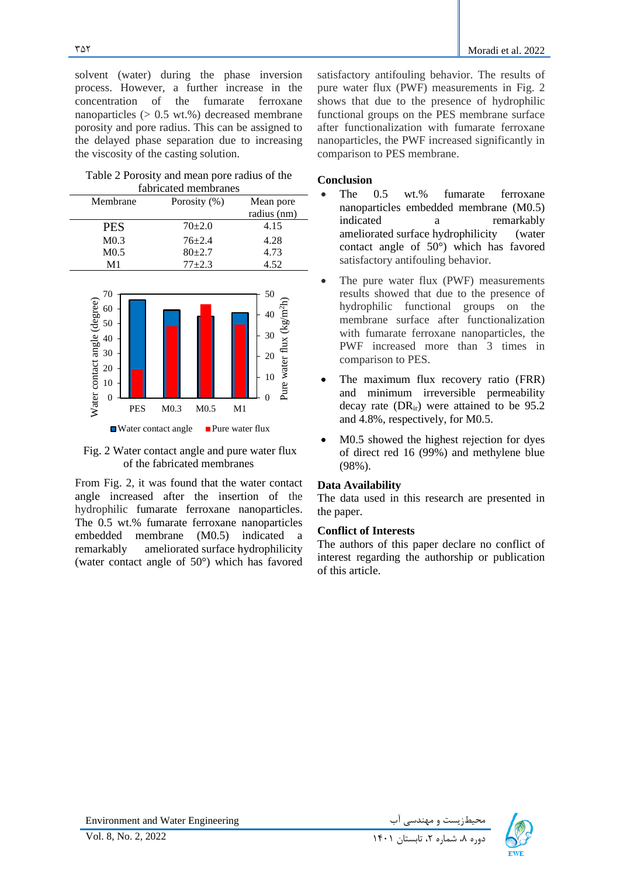solvent (water) during the phase inversion process. However, a further increase in the concentration of the fumarate ferroxane nanoparticles  $(0.5 \text{ wt.})$ % decreased membrane porosity and pore radius. This can be assigned to the delayed phase separation due to increasing the viscosity of the casting solution.

Table 2 Porosity and mean pore radius of the fabricated membranes

| Membrane         | Porosity $(\%)$ | Mean pore   |  |  |
|------------------|-----------------|-------------|--|--|
|                  |                 | radius (nm) |  |  |
| <b>PES</b>       | $70+2.0$        | 4.15        |  |  |
| M <sub>0.3</sub> | $76 + 2.4$      | 4.28        |  |  |
| M <sub>0.5</sub> | $80+2.7$        | 4.73        |  |  |
| M1               | $77 + 2.3$      | 4.52        |  |  |





From Fig. 2, it was found that the water contact angle increased after the insertion of the hydrophilic fumarate ferroxane nanoparticles. The 0.5 wt.% fumarate ferroxane nanoparticles embedded membrane (M0.5) indicated a remarkably ameliorated surface hydrophilicity (water contact angle of 50°) which has favored

satisfactory antifouling behavior. The results of pure water flux (PWF) measurements in Fig. 2 shows that due to the presence of hydrophilic functional groups on the PES membrane surface after functionalization with fumarate ferroxane nanoparticles, the PWF increased significantly in comparison to PES membrane.

#### **Conclusion**

- The 0.5 wt.% fumarate ferroxane nanoparticles embedded membrane (M0.5) indicated a remarkably ameliorated surface hydrophilicity (water contact angle of 50°) which has favored satisfactory antifouling behavior.
- The pure water flux (PWF) measurements results showed that due to the presence of hydrophilic functional groups on the membrane surface after functionalization with fumarate ferroxane nanoparticles, the PWF increased more than 3 times in comparison to PES.
- The maximum flux recovery ratio (FRR) and minimum irreversible permeability decay rate  $(DR_{ir})$  were attained to be 95.2 and 4.8%, respectively, for M0.5.
- M0.5 showed the highest rejection for dyes of direct red 16 (99%) and methylene blue (98%).

#### **Data Availability**

The data used in this research are presented in the paper.

#### **Conflict of Interests**

The authors of this paper declare no conflict of interest regarding the authorship or publication of this article.

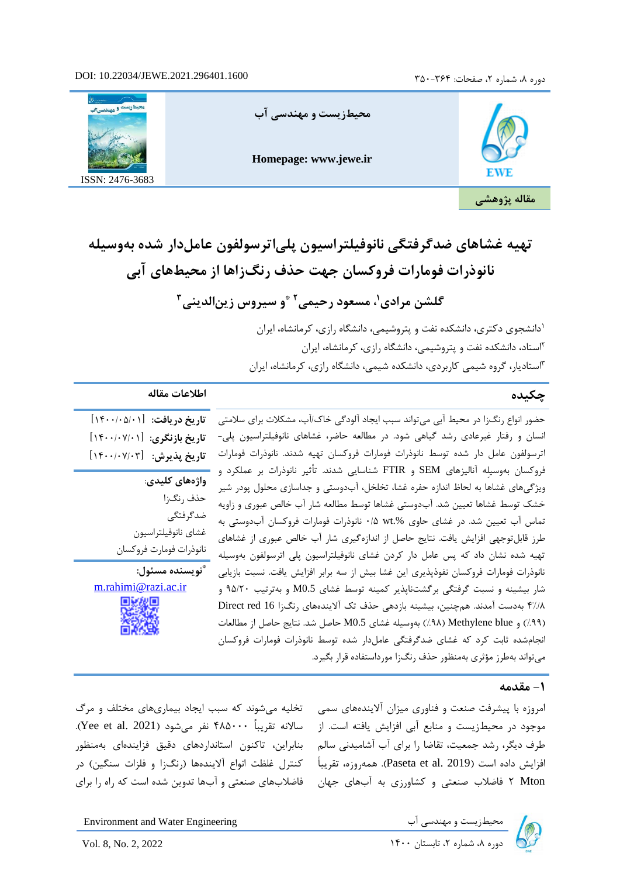# .2021.296401.1600JEWE10.22034/ دوره ،8 شماره ،2 صفحات: 350-364 :DOI



# تهیه غشاهای ضدگرفتگی نانوفیلتراسیون پلے اترسولفون عامل دار شده بهوسیله **نانوذرات فومارات فروکسان جهت حذف رنگ زاها از محیطهای آبی**

گلشن مرادی'، مسعود رحیمی<sup>۲</sup> ٌو سیروس زین|لدینی<sup>۳</sup>

دانشجوی دکتری، دانشکده نفت و پتروشیمی، دانشگاه رازی، کرمانشاه، ایران <sup>1</sup> 2 استاد، دانشکده نفت و پتروشیمی، دانشگاه رازی، کرمانشاه، ایران استادیار، گروه شیمی کاربردی، دانشکده شیمی، دانشگاه رازی، کرمانشاه، ایران <sup>3</sup>

# **چکیده اطالعات مقاله**

**تاریخ دریافت:** ]1400/05/01[ **تاریخ بازنگری:** ]1400/07/01[

**واژه های کلیدی**: حذف رنگ زا ضدگرفتگی غشای نانوفیلتراسیون نانوذرات فومارت فروکسان

**\* نویسنده مسئول:**  [m.rahimi@razi.ac.ir](mailto:m.rahimi@razi.ac.ir)

ترسولفون عامل دار شده توسط نانوذرات فومارات فروکسان تهیه شدند. نانوذرات فومارات **تاریخ پذیرش: [۱۴۰۰/۰۷/۰۳]** حضور انواع رنگ زا در محیط آبی می تواند سبب ایجاد آلودگی خاک/آب، مشکلات برای سلامتی انسان و رفتار غیرعادی رشد گیاهی شود. در مطالعه حاضر، غشاهای نانوفیلتراسیون پلی- فروکسان بهوسیلِه آنالیزهای SEM و FTIR شناسایی شدند. تأثیر نانوذرات بر عملکرد و ویژگیهای غشاها به لحاظ اندازه حفره غشا، تخلخل، آبدوستی و جداسازی محلول پودر شیر خشک توسط غشاها تعیین شد. آبدوستی غشاها توسط مطالعه شار آب خالص عبوری و زاویه تماس آب تعیین شد. در غشای حاوی .%wt 0/5 نانوذرات فومار ات فروکسان آبدوستی به طرز قابل توجهی افزایش یافت. نتایج حاصل از اندازهگیری شار آب خالص عبوری از غشاهای تهیه شده نشان داد که پس عامل دار کردن غشای نانوفیلتراسیون پلی اترسولفون بهوسیله نانوذرات فومارات فروکسان نفوذپذیری این غشا بیش از سه برابر افزایش یافت. نسبت بازیابی شار بیشینه و نسبت گرفتگی برگشتناپذیر کمینه توسط غشای 0.5M و بهترتیب 95/20 و 4%/8 بهدست آمدند. همچنین، بیشینه بازدهی حذف تک آالیندههای رنگزا 16 red Direct )%99( و blue Methylene( %98 )بهوسیله غشای 0.5M حاصل شد. نتایج حاصل از مطالعات انجام شده ثابت کرد که غشای ضدگرفتگی عاملدار شده توسط نانوذرات فومارات فروکسان میتواند بهطرز مؤثری بهمنظور حذف رنگزا مورداستفاده قرار بگیرد.

#### **-1 مقدمه**

امروزه با پیشرفت صنعت و فناوری میزان آالیندههای سمی تخلیه میشوند که سبب ایجاد بیماری های مختلف و مرگ موجود در محیطزیست و منابع آبی افزایش یافته است. از طرف دیگر، رشد جمعیت، تقاضا را برای آب آشامیدنی سالم افزایش داده است (Paseta et al. 2019). همه روزه، تقریباً Mton 2 فاضالب صنعتی و کشاورزی به آب های جهان

بنابراین، تاکنون استانداردهای دقیق فزایندهای بهمنظور کنترل غلظت انواع آلایندهها (رنگزا و فلزات سنگین) در فاضالبهای صنعتی و آبها تدوین شده است که راه را برای

سالانه تقریباً ۴۸۵۰۰۰ نفر میشود (Yee et al. 2021).



Environment and Water Engineering دوره ،8 شماره ،2 تابستان 1400 2022 2, .No 8, .Vol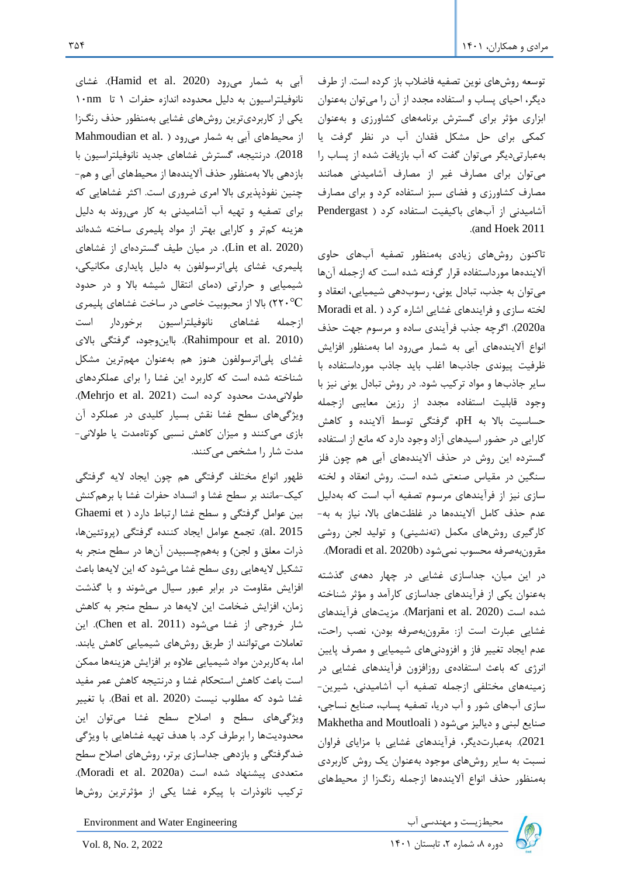توسعه روش های نوین تصفیه فاضالب باز کرده است. از طرف دیگر، احیای پساب و استفاده مجدد از آن را میتوان به عنوان ابزاری مؤثر برای گسترش برنامههای کشاورزی و بهعنوان کمکی برای حل مشکل فقدان آب در نظر گرفت یا بهعبارتیدیگر میتوان گفت که آب بازیافت شده از پساب را میتوان برای مصارف غیر از مصارف آشامیدنی همانند مصارف کشاورزی و فضای سبز استفاده کرد و برای مصارف آشامیدنی از آبهای باکیفیت استفاده کرد ) Pendergast .(and Hoek 2011

تاکنون روشهای زیادی بهمنظور تصفیه آبهای حاوی آالیندهها مورداستفاده قرار گرفته شده است که ازجمله آنها میتوان به جذب، تبادل یونی، رسوب دهی شیمیایی، انعقاد و لخته سازی و فرایندهای غشایی اشاره کرد ( .Moradi et al a2020). اگرچه جذب فرآیندی ساده و مرسوم جهت حذف انواع آلایندههای آبی به شمار می رود اما بهمنظور افزایش ظرفیت پیوندی جاذبها اغلب باید جاذب مورداستفاده با سایر جاذبها و مواد ترکیب شود. در روش تبادل یونی نیز با وجود قابلیت استفاده مجدد از رزین معایبی ازجمله حساسیت باال به pH، گرفتگی توسط آالینده و کاهش کارایی در حضور اسیدهای آزاد وجود دارد که مانع از استفاده گسترده این روش در حذف آالیندههای آبی هم چون فلز سنگین در مقیاس صنعتی شده است. روش انعقاد و لخته سازی نیز از فرآیندهای مرسوم تصفیه آب است که بهدلیل عدم حذف کامل آالیندهها در غلظتهای باال، نیاز به به- کارگیری روشهای مکمل (تهنشینی) و تولید لجن روشی مقرون به صرفه محسوب نمیشود (Moradi et al. 2020b).

در این میان، جداسازی غشایی در چهار دههی گذشته بهعنوان یکی از فرآیندهای جداسازی کارآمد و مؤثر شناخته شده است )2020 .al et Marjani). مزیتهای فرآیندهای غشایی عبارت است از: مقرون بهصرفه بودن، نصب راحت، عدم ایجاد تغییر فاز و افزودنی های شیمیایی و مصرف پایین انرژی که باعث استفادهی روزافزون فرآیندهای غشایی در زمینههای مختلفی ازجمله تصفیه آب آشامیدنی، شیرین- سازی آبهای شور و آب دریا، تصفیه پساب، صنایع نساجی، صنایع لبنی و دیالیز میشود ( Makhetha and Moutloali 2021(. بهعبارتدیگر، فرآیندهای غشایی با مزایای فراوان نسبت به سایر روش های موجود بهعنوان یک روش کاربردی بهمنظور حذف انواع آالیندهها ازجمله رنگ زا از محیطهای

Environment and Water Engineering دمجیطزیست و مهندسی آب Environment and Water Engineering<br>دوره ۸، شماره ۲، تابستان ۱۴۰۱ ـ 2022 ـ Vol. 8, No. 2, 2022

آبی به شمار می<sub>د</sub>ود (Hamid et al. 2020). غشای نانوفیلتراسیون به دلیل محدوده اندازه حفرات 1 تا nm10 یکی از کاربردیترین روشهای غشایی بهمنظور حذف رنگزا از محیطهای آبی به شمار می رود ( .Mahmoudian et al 2018(. درنتیجه، گسترش غشاهای جدید نانوفیلتراسیون با بازدهی باال بهمنظور حذف آالینده ها از محیطهای آبی و هم- چنین نفوذپذیری باال امری ضروری است. اکثر غشاهایی که برای تصفیه و تهیه آب آشامیدنی به کار میروند به دلیل هزینه کمتر و کارایی بهتر از مواد پلیمری ساخته شدهاند )2020 .al et Lin). در میان طیف گستردهای از غشاهای پلیمری، غشای پلیاترسولفون به دلیل پایداری مکانیکی، شیمیایی و حرارتی )دمای انتقال شیشه باال و در حدود °C220( باال از محبوبیت خاصی در ساخت غشاهای پلیمری ازجمله غشاهای نانوفیلتراسیون برخوردار است )2010 .al et Rahimpour). بااینوجود، گرفتگی باالی غشای پلیاترسولفون هنوز هم بهعنوان مهمترین مشکل شناخته شده است که کاربرد این غشا را برای عملکردهای طولانی مدت محدود کرده است (Mehrjo et al. 2021). ویژگیهای سطح غشا نقش بسیار کلیدی در عملکرد آن

بازی می کنند و میزان کاهش نسبی کوتاه مدت یا طوالنی - مدت شار را مشخص می کنند.

ظهور انواع مختلف گرفتگی هم چون ایجاد الیه گرفتگی کیک-مانند بر سطح غشا و انسداد حفرات غشا با برهمکنش بین عوامل گرفتگی و سطح غشا ارتباط دارد ( Ghaemi et 2015 .al). تجمع عوامل ایجاد کننده گرفتگی )پروتئینها، ذرات معلق و لجن) و بههمچسبیدن آنها در سطح منجر به تشکیل الیههایی روی سطح غشا میشود که این الیهها باعث افزایش مقاومت در برابر عبور سیال میشوند و با گذشت زمان، افزایش ضخامت این الیهها در سطح منجر به کاهش شار خروجی از غشا میشود (Chen et al. 2011). این تعامالت میتوانند از طریق روش های شیمیایی کاهش یابند. اما، بهکاربردن مواد شیمیایی عالوه بر افزایش هزینهها ممکن است باعث کاهش استحکام غشا و درنتیجه کاهش عمر مفید غشا شود که مطلوب نیست (Bai et al. 2020). با تغییر ویژگیهای سطح و اصالح سطح غشا میتوان این محدودیتها را برطرف کرد. با هدف تهیه غشاهایی با ویژگی ضدگرفتگی و بازدهی جداسازی برتر، روشهای اصالح سطح متعددی پیشنهاد شده است (Moradi et al. 2020a). ترکیب نانوذرات با پیکره غشا یکی از مؤثرترین روشها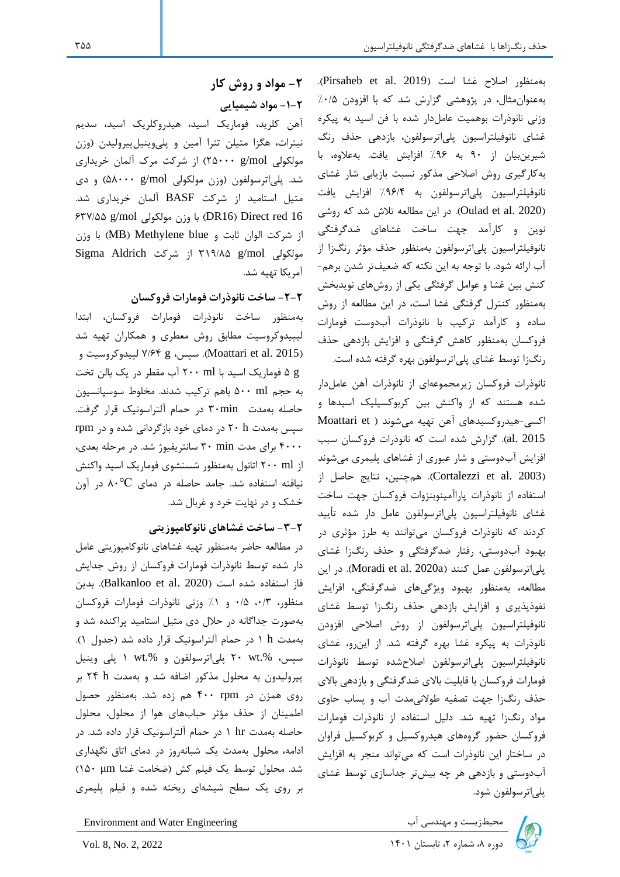بهمنظور اصلاح غشا است (Pirsaheb et al. 2019). بهعنوان مثال، در پژوهشی گزارش شد که با افزودن %0/5 وزنی نانوذرات بوهمیت عاملدار شده با فن اسید به پیکره غشای نانوفیلتراسیون پلیاترسولفون، بازدهی حذف رنگ شیرین بیان از 90 به %96 افزایش یافت. بهعالوه، با بهکارگیری روش اصالحی مذکور نسبت بازیابی شار غشای نانوفیلتراسیون پلیاترسولفون به %96/4 افزایش یافت )2020 .al et Oulad). در این مطالعه تالش شد که روشی نوین و کارآمد جهت ساخت غشاهای ضدگرفتگی نانوفیلتراسیون پلیاترسولفون بهمنظور حذف مؤثر رنگ زا از آب ارائه شود. با توجه به این نکته که ضعیفتر شدن برهم- کنش بین غشا و عوامل گرفتگی یکی از روشهای نویدبخش بهمنظور کنترل گرفتگی غشا است، در این مطالعه از روش ساده و کارآمد ترکیب با نانوذرات آبدوست فومارات فروکسان بهمنظور کاهش گرفتگی و افزایش بازدهی حذف رنگزا توسط غشای پلیاترسولفون بهره گرفته شده است.

نانوذرات فروکسان زیرمجموعه ای از نانوذرات آهن عامل دار شده هستند که از واکنش بین کربوکسیلیک اسیدها و اکسی-هیدروکسیدهای آهن تهیه میشوند ( Moattari et 2015 .al). گزارش شده است که نانوذرات فروکسان سبب افزایش آبدوستی و شار عبوری از غشاهای پلیمری میشوند ز). Cortalezzi et al. 2003). همچنین، نتایج حاصل از استفاده از نانوذرات پاراآمینوبنزوات فروکسان جهت ساخت غشای نانوفیلتراسیون پلیاترسولفون عامل دار شده تأیید کردند که نانوذرات فروکسان میتوانند به طرز مؤثری در بهبود آبدوستی، رفتار ضدگرفتگی و حذف رنگزا غشای پلی اترسولفون عمل کنند (Moradi et al. 2020a). در این مطالعه، بهمنظور بهبود ویژگی های ضدگرفتگی، افزایش نفوذپذیری و افزایش بازدهی حذف رنگزا توسط غشای نانوفیلتراسیون پلیاترسولفون از روش اصالحی افزودن نانوذرات به پیکره غشا بهره گرفته شد. از اینرو، غشای نانوفیلتراسیون پلیاترسولفون اصالحشده توسط نانوذرات فومارات فروکسان با قابلیت باالی ضدگرفتگی و بازدهی باالی حذف رنگزا جهت تصفیه طوالنیمدت آب و پساب حاوی مواد رنگزا تهیه شد. دلیل استفاده از نانوذرات فومارات فروکسان حضور گروههای هیدروکسیل و کربوکسیل فراوان در ساختار این نانوذرات است که میتواند منجر به افزایش آبدوستی و بازدهی هر چه بیش تر جداسازی توسط غشای پلیاترسولفون شود.



Environment and Water Engineering دیست و مهندسی آب است است 1401 Environment and Water Engineering<br>دوره ۸، شماره ۲، تابستان ۱۴۰۱ استان ۱۴۰۱ ـ 2022 .

**-2 مواد و روش کار -1-2 مواد شیمیایی** 

آهن کلرید، فوماریک اسید، هیدروکلریک اسید، سدیم نیترات، هگزا متیلن تترا آمین و پلیوینیلپیرولیدن )وزن مولکولی mol/g 25000 )از شرکت مرک آلمان خریداری شد. پلیاترسولفون )وزن مولکولی mol/g 58000 )و دی متیل استامید از شرکت BASF آلمان خریداری شد. 637/55 g/mol مولکولی وزن با( DR16( Direct red 16 از شرکت الوان ثابت و MB) Methylene blue) با وزن Sigma Aldrich شرکت از 319/85 g/mol مولکولی آمریکا تهیه شد.

**-2-2 ساخت نانوذرات فومارات فروکسان**

بهمنظور ساخت نانوذرات فومارات فروکسان، ابتدا لیپیدوکروسیت مطابق روش معطری و همکاران تهیه شد سپس، 8 ۷/۶۴ لپیدوکروسیت و Moattari et al. 2015) g 5 فوماریک اسید با ml 200 آب مقطر در یک بالن تخت به حجم ml 500 باهم ترکیب شدند. مخلوط سوسپانسیون حاصله بهمدت min30 در حمام آلتراسونیک قرار گرفت. سپس بهمدت h 20 در دمای خود بازگردانی شده و در rpm 4000 برای مدت min 30 سانتریفیوژ شد. در مرحله بعدی، از ml 200 اتانول بهمنظور شستشوی فوماریک اسید واکنش نیافته استفاده شد. جامد حاصله در دمای °C80 در آون خشک و در نهایت خرد و غربال شد.

## **-3-2 ساخت غشاهای نانوکامپوزیتی**

در مطالعه حاضر بهمنظور تهیه غشاهای نانوکامپوزیتی عامل دار شده توسط نانوذرات فومارات فروکسان از روش جدایش فاز استفاده شده است (Balkanloo et al. 2020). بدین منظور، ٠/٣، ٠/٥ و ١٪ وزنی نانوذرات فومارات فروکسان بهصورت جداگانه در حالل دی متیل استامید پراکنده شد و بهمدت h 1 در حمام آلتراسونیک قرار داده شد )جدول 1(. سپس، .%wt 20 پلیاترسولفون و .%wt 1 پلی وینیل پیرولیدون به محلول مذکور اضافه شد و بهمدت h 24 بر روی همزن در rpm 400 هم زده شد. بهمنظور حصول اطمینان از حذف مؤثر حبابهای هوا از محلول، محلول حاصله بهمدت hr 1 در حمام آلتراسونیک قرار داده شد. در ادامه، محلول بهمدت یک شبانه روز در دمای اتاق نگهداری شد. محلول توسط یک فیلم کش )ضخامت غشا μm 150 ) بر روی یک سطح شیشه ای ریخته شده و فیلم پلیمری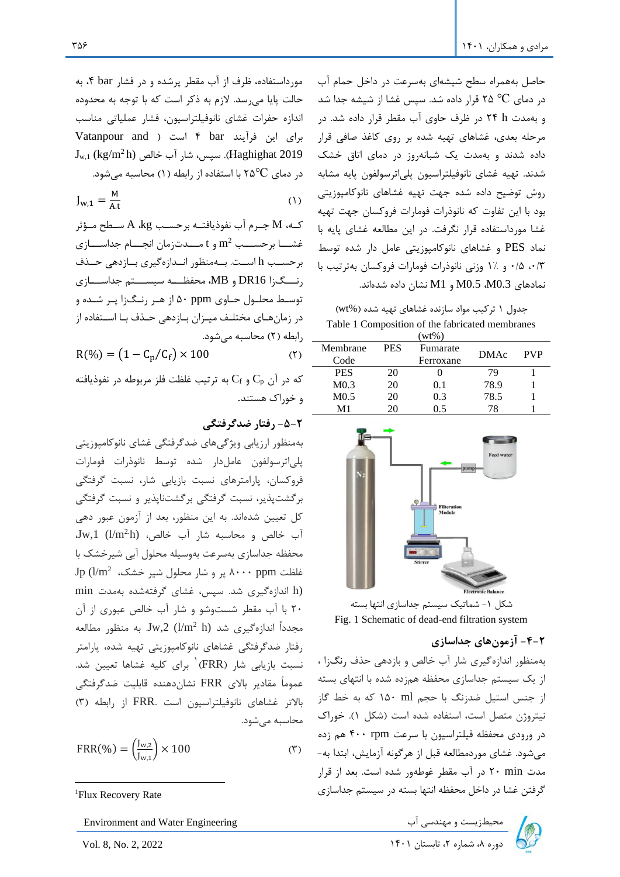مورداستفاده، ظرف از آب مقطر پرشده و در فشار bar ۴، به حالت پایا میرسد. الزم به ذکر است که با توجه به محدوده اندازه حفرات غشای نانوفیلتراسیون، فشار عملیاتی مناسب برای این فرآیند ۴ bar است ( Vatanpour and  $J_{w,1}$  (kg/m<sup>2</sup> h) نسیس، شار آب خالص Gw,<sub>1</sub> (kg/m<sup>2</sup> h) در دمای ۲۵°C با استفاده از رابطه (۱) محاسبه میشود.

$$
J_{w,1} = \frac{M}{A.t}
$$
 (1)

که، M جــرم آب نفوذیافتــه برحسـب A ،kg، ســطح مــؤثر و t مسهمههای مهمههای توسههان انجمههام جداسههازی  $\mathfrak{m}^2$  برحسهه برحسب h است. بهمنظور انهازهگیری بازدهی حمذف رنسگزا DR16 و MB، محفظه سیسستم جداسسازی توسهط محلهول حهاوی ppm 50 از ههر رنهگزا پهر شهده و در زمانهای مختلـف میـزان بـازدهی حـذف بـا اســتفاده از رابطه )2( محاسبه میشود.

 $R(\%) = (1 - C_p/C_f) \times 100$  (۲)

که در آن  $\rm C_{p}$  و  $\rm C_{f}$  به ترتیب غلظت فلز مربوطه در نفوذیافته و خوراک هستند.

#### **-5-2 رفتار ضدگرفتگی**

بهمنظور ارزیابی ویژگی های ضدگرفتگی غشای نانوکامپوزیتی پلیاترسولفون عاملدار شده توسط نانوذرات فومارات فروکسان، پارامترهای نسبت بازیابی شار، نسبت گرفتگی برگشتپذیر، نسبت گرفتگی برگشتناپذیر و نسبت گرفتگی کل تعیین شدهاند. به این منظور، بعد از آزمون عبور دهی  $Jw,1$  (l/m<sup>2</sup>h) خالص و محاسبه شار آب خالص، محفظه جداسازی به سرعت بهوسیل ه محلول آبی شیرخشک با  $\text{Jp (l/m}^2$  غلظت ppm بر و شار محلول شیر خشک، (h اندازهگیری شد. سپس، غشای گرفتهشده بهمدت min 20 با آب مقطر شستوشو و شار آب خالص عبوری از آن مجدداً اندازهگیری شد ال ${\rm Jw,2}$  (l/m $^2$  h) منظور مطالعه رفتار ضدگرفتگی غشاهای نانوکامپوزیتی تهیه شده، پارامتر نسبت بازیابی شار (FRR)<sup>۱</sup> برای کلیه غشاها تعیین شد. عموماً مقادیر باالی FRR نشاندهنده قابلیت ضدگرفتگی باالتر غشاهای نانوفیلتراسیون است .FRR از رابطه )3( محاسبه میشود.

$$
FRR(\%) = \left(\frac{J_{w,z}}{J_{w,z}}\right) \times 100\tag{5}
$$

حاصل بههمراه سطح شیشه ای بهسرعت در داخل حمام آب در دمای °C 25 قرار داده شد. سپس غشا از شیشه جدا شد و بهمدت h 24 در ظرف حاوی آب مقطر قرار داده شد. در مرحله بعدی، غشاهای تهیه شده بر روی کاغذ صافی قرار داده شدند و بهمدت یک شبانهروز در دمای اتاق خشک شدند. تهیه غشای نانوفیلتراسیون پلیاترسولفون پایه مشابه روش توضیح داده شده جهت تهیه غشاهای نانوکامپوزیتی بود با این تفاوت که نانوذرات فومارات فروکسان جهت تهیه غشا مورداستفاده قرار نگرفت. در این مطالعه غشای پایه با نماد PES و غشاهای نانوکامپوزیتی عامل دار شده توسط ،0/3 0/5 و 1% وزنی نانوذرات فومارات فروکسان بهترتیب با نمادهای 0.3M، 5MM و M1 نشان داده شدهاند.

جدول 1 ترکیب مواد سازنده غشاهای تهیه شده (wt%) Table 1 Composition of the fabricated membranes

| $(wt\%)$         |            |           |             |            |  |  |
|------------------|------------|-----------|-------------|------------|--|--|
| Membrane         | <b>PES</b> | Fumarate  | <b>DMAc</b> | <b>PVP</b> |  |  |
| Code             |            | Ferroxane |             |            |  |  |
| <b>PES</b>       | 20         |           | 79          |            |  |  |
| M <sub>0.3</sub> | 20         | 0.1       | 78.9        |            |  |  |
| M0.5             | 20         | 0.3       | 78.5        |            |  |  |
| M1               | 20         | () 5      | 78          |            |  |  |



شکل ۱- شماتیک سیستم جداسازی انتها بسته Fig. 1 Schematic of dead-end filtration system

## **-4-2 آزمونهای جداسازی**

بهمنظور اندازهگیری شار آب خالص و بازدهی حذف رنگزا ، از یک سیستم جداسازی محفظه همزده شده با انتهای بسته از جنس استیل ضدزنگ با حجم ml 150 که به خط گاز نیتروژن متصل است، استفاده شده است )شکل 1(. خوراک در ورودی محفظه فیلتراسیون با سرعت rpm 400 هم زده میشود. غشای موردمطالعه قبل از هرگونه آزمایش، ابتدا به- مدت min 20 در آب مقطر غوطهور شده است. بعد از قرار گرفتن غشا در داخل محفظه انتها بسته در سیستم جداسازی



<sup>&</sup>lt;sup>1</sup>Flux Recovery Rate

محیطزیست و مهندسی آب Environment and Water Engineering محیطزیست و مهندسی آب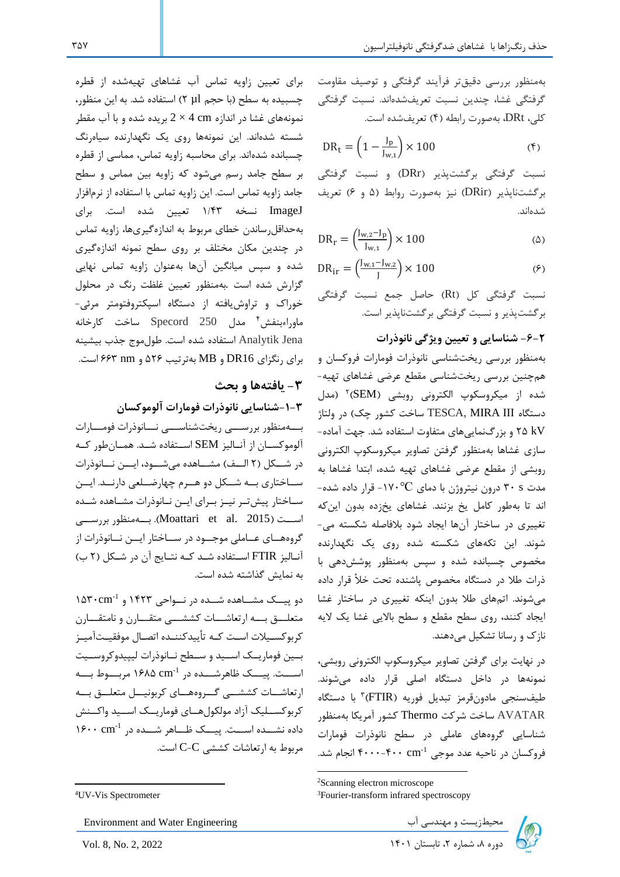بهمنظور بررسی دقیقتر فرآیند گرفتگی و توصیف مقاومت گرفتگی غشا، چندین نسبت تعریفشدهاند. نسبت گرفتگی کلی، DRt، بهصورت رابطه )4( تعریفشده است.

$$
DR_t = \left(1 - \frac{J_p}{J_{w,1}}\right) \times 100\tag{5}
$$

نسبت گرفتگی برگشتپذیر ) DRr )و نسبت گرفتگی برگشتناپذیر )DRir )نیز بهصورت روابط )5 و 6( تعریف شدهاند.

$$
DR_r = \left(\frac{J_{w,2} - J_p}{J_{w,1}}\right) \times 100\tag{a}
$$

$$
DR_{ir} = \left(\frac{J_{w,1} - J_{w,2}}{J}\right) \times 100\tag{9}
$$

نسبت گرفتگی کل (Rt) حاصل جمع نسبت گرفتگی برگشتپذیر و نسبت گرفتگی برگشت ناپذیر است.

#### **-6-2 شناسایی و تعیین ویژگی نانوذرات**

بهمنظور بررسی ریخت شناسی نانوذرات فومارات فروکسان و همچنین بررسی ریختشناسی مقطع عرضی غشاهای تهیه- شده از میکروسکوپ الکترونی روبشی (SEM)<sup>۲</sup> (مدل دستگاه TESCA, MIRA III ساخت کشور چک) در ولتاژ kV 25 و بزرگنماییهای متفاوت استفاده شد. جهت آماده - سازی غشاها بهمنظور گرفتن تصاویر میکروسکوپ الکترونی روبشی از مقطع عرضی غشاهای تهیه شده، ابتدا غشاها به مدت s 30 درون نیتروژن با دمای °C-170 قرار داده شده- اند تا بهطور کامل یخ بزنند. غشاهای یخزده بدون اینکه تغییری در ساختار آنها ایجاد شود بالفاصله شکسته می - شوند. این تکههای شکسته شده روی یک نگهدارنده مخصوص چسبانده شده و سپس بهمنظور پوشش دهی با ذرات طال در دستگاه مخصوص پاشنده تحت خأل قرار داده میشوند. اتمهای طال بدون اینکه تغییری در ساختار غشا ایجاد کنند، روی سطح مقطع و سطح باالیی غشا یک الیه نازک و رسانا تشکیل میدهند.

در نهایت برای گرفتن تصاویر میکروسکوپ الکترونی روبشی، نمونه ها در داخل دستگاه اصلی قرار داده میشوند. طیفسنجی مادونقرمز تبدیل فوریه (FTIR)۴ با دستگاه AVATAR ساخت شرکت Thermo کشور آمریکا بهمنظور شناسایی گروه های عاملی در سطح نانوذرات فومارات فروکسان در ناحیه عدد موجی ۴۰۰۰ -۴۰۰۰ انجام شد.

جامد زاویه تماس است. این زاویه تماس با استفاده از نرمافزار ImageJ نسخه 1/43 تعیین شده است. برای بهحداقلرساندن خطای مربوط به اندازهگیریها، زاویه تماس در چندین مکان مختلف بر روی سطح نمونه اندازهگیری شده و سپس میانگین آنها بهعنوان زاویه تماس نهایی گزارش شده است .به منظور تعیین غلظت رنگ در محلول خوراک و تراوشیافته از دستگاه اسپکتروفتومتر مرئی- <sup>4</sup> ماوراءبنفش مدل 250 Specord ساخت کارخانه Jena Analytik استفاده شده است. طول موج جذب بیشینه برای رنگزای 16DR و MB بهترتیب 526 و nm 663 است. **-3 یافتهها و بحث -1-3شناسایی نانوذرات فومارات آلوموکسان**  بههنظور بررسهی ریختشناسهی نسانوذرات فومسارات

برای تعیین زاویه تماس آب غشاهای تهیهشده از قطره چسبیده به سطح )با حجم µl 2 )استفاده شد. به این منظور، نمونههای غشا در اندازه cm 4 × 2 بریده شده و با آب مقطر شسته شدهاند. این نمونهها روی یک نگهدارنده سیاهرنگ چسبانده شدهاند. برای محاسبه زاویه تماس، مماسی از قطره بر سطح جامد رسم میشود که زاویه بین مماس و سطح

آلوموکســان از آنــالیز SEM اســتفاده شــد. همــانطور کــه در شــكل (٢ الــف) مشـــاهده می شــود، ایـــن نـــانوذرات سهاختاری به شهکل دو ههرم چهارضهلعی دارنهد. ایهن ساختار پیش تـر نیــز بــرای ایــن نــانوذرات مشــاهده شــده اسست (2015 .Moattari et al. 2015). بسه منظور بررسسی گروههـای عــاملی موجــود در ســـاختار ایـــن نـــانوذرات از آنالیز FTIR استفاده شد که نتایج آن در شکل (٢ ب) به نمایش گذاشته شده است.

 $108 \cdot \text{cm}^{-1}$  دو پیسک مشـاهده شــده در نــواحی ۱۴۲۳ و متعلـــق بـــه ارتعاشـــات کششـــی متقـــارن و نامتقـــارن کربوکسـیلات اسـت کـه تأییدکننـده اتصـال موفقیـتآمیـز بسین فوماریسک اسسید و سهطح نسانوذرات لیپیدوکروسسیت اســـت. پیـــک ظاهرشـــده در 1۶۸۵ cm<sup>-1</sup> مربــــوط بــــه ارتعاشـات کششــی گــروههــای کربونیــل متعلــق بــه کربوکسهلیک آزاد مولکول ههای فوماریسک اسهید واکهنش داده نشــده اســت. پیــک ظــاهر شــده در ۱۶۰۰ ۱۶۰۰ مربوط به ارتعاشات کششی C-C است.

محیطزیست و مهندسی آب Environment and Water Engineering محیطزیست و مهندسی آب



<sup>2</sup>Scanning electron microscope

<sup>3</sup>Fourier-transform infrared spectroscopy

<sup>4</sup>UV-Vis Spectrometer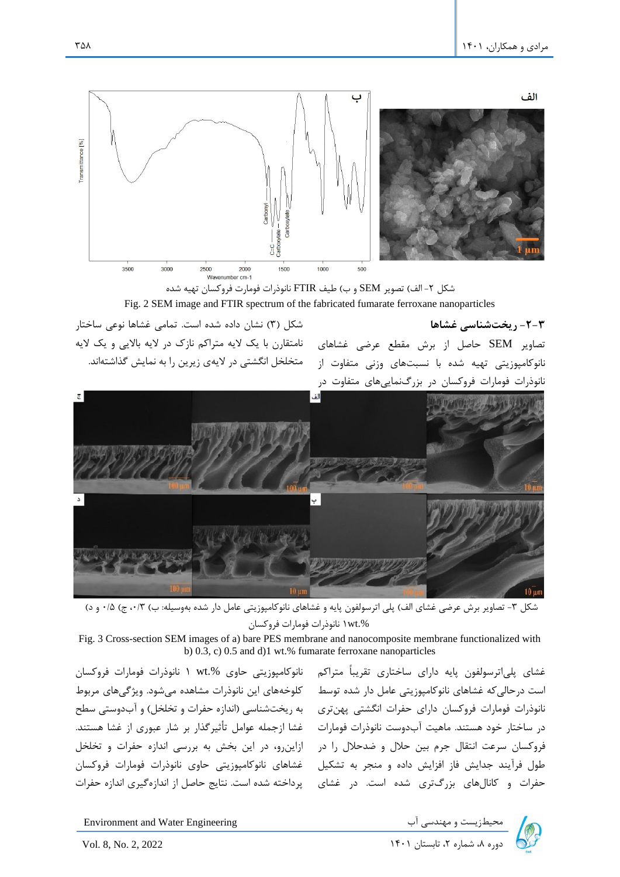

**-2-3 ریخت شناسی غشاها**  تصاویر SEM حاصل از برش مقطع عرضی غشاهای نانوکامپوزیتی تهیه شده با نسبتهای وزنی متفاوت از نانوذرات فومارات فروکسان در بزرگنماییهای متفاوت در





شکل ۳- تصاویر برش عرضی غشای الف) پلی اترسولفون پایه و غشاهای نانوکامپوزیتی عامل دار شده بهوسیله: ب) ۰/۵ ( ۰/۳ و د) .%wt1 نانوذرات فومارات فروکسان

Fig. 3 Cross-section SEM images of a) bare PES membrane and nanocomposite membrane functionalized with b) 0.3, c) 0.5 and d)1 wt.% fumarate ferroxane nanoparticles

غشای پلیاترسولفون پایه دارای ساختاری تقریباً متراکم نانوکامپوزیتی حاوی %.wt ۱ نانوذرات فومارات فروکسان است درحالیکه غشاهای نانوکامپوزیتی عامل دار شده توسط کلوخههای این نانوذرات مشاهده میشود. ویژگیهای مربوط نانوذرات فومارات فروکسان دارای حفرات انگشتی پهنتری ۔ به ریختشناسی (اندازه حفرات و تخلخل) و ابدوستی سطح در ساختار خود هستند. ماهیت ابدوست نانوذرات فومارات گغشا ازجمله عوامل تاثیرگذار بر شار عبوری از غشا هستند. فروکسان سرعت انتقال جرم بین حلال و ضدحلال را در §ازاینرو، در این بخش به بررسی اندازه حفرات و تخلخل طول فرایند جدایش فاز افزایش داده و منجر به تشکیل گغشاهای نانوکامپوزیتی حاوی نانوذرات فومارات فروکسان

حفرات و کانالهای بزرگتری شده است. در غشای پرداخته شده است. نتایج حاصل از اندازهگیری اندازه حفرات

Environment and Water Engineering دوره بالاست و مهندسی آب المعیطزیست و مهندسی آب المعیطزیست و مهندسی آب<br>بال ۱۴۰۱ تابستان ۱۴۰۱ I۴۰۱ تابستان ۱۴۰۱ I۴۰۱ 2022 2, 2022 A, No. 2, 2022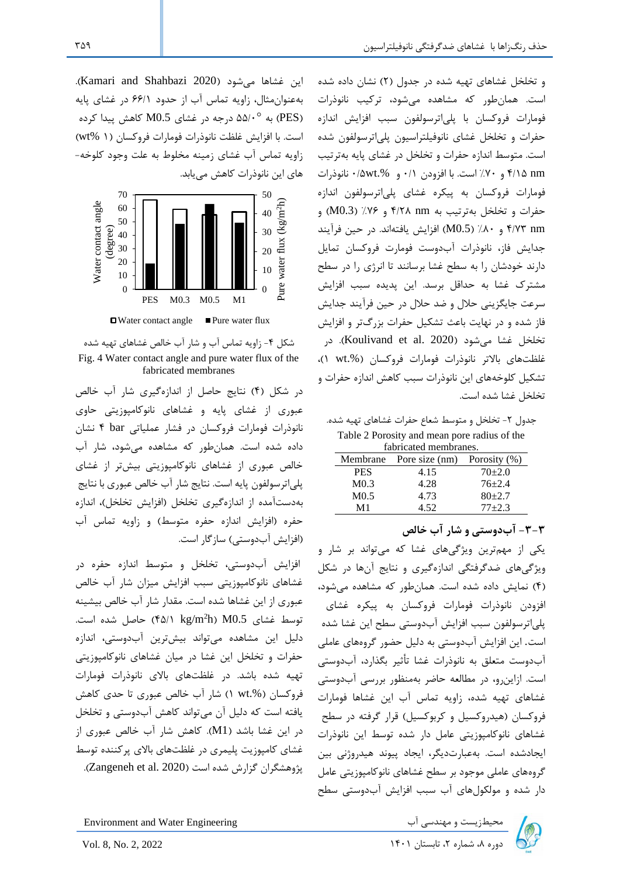و تخلخل غشاهای تهیه شده در جدول (۲) نشان داده شده است. همانطور که مشاهده میشود، ترکیب نانوذرات فومارات فروکسان با پلیاترسولفون سبب افزایش اندازه حفرات و تخلخل غشای نانوفیلتراسیون پلیاترسولفون شده است. متوسط اندازه حفرات و تخلخل در غشای پایه بهترتیب nm 4/15 و %70 است. با افزودن 0/1 و .%wt0/5 نانوذرات فومارات فروکسان به پیکره غشای پلیاترسولفون اندازه حفرات و تخلخل بهترتیب به nm 4/28 و %76 )0.3M )و nm 4/73 و %80 )0.5M )افزایش یافتهاند. در حین فرآیند جدایش فاز، نانوذرات آبدوست فومارت فروکسان تمایل دارند خودشان را به سطح غشا برسانند تا انرژی را در سطح مشترک غشا به حداقل برسد. این پدیده سبب افزایش سرعت جایگزینی حالل و ضد حالل در حین فرآیند جدایش فاز شده و در نهایت باعث تشکیل حفرات بزرگتر و افزایش تخلخل غشا می,شود (Koulivand et al. 2020). در غلظتهای باالتر نانوذرات فومارات فروکسان ).%wt 1)، تشکیل کلوخههای این نانوذرات سبب کاهش اندازه حفرات و تخلخل غشا شده است.

جدول ۲- تخلخل و متوسط شعاع حفرات غشاهای تهیه شده. Table 2 Porosity and mean pore radius of the fabricated membranes.

| Membrane         | Pore size (nm) | Porosity (%) |
|------------------|----------------|--------------|
| <b>PES</b>       | 4.15           | $70+2.0$     |
| M <sub>0.3</sub> | 4.28           | $76 + 2.4$   |
| M <sub>0.5</sub> | 4.73           | $80+2.7$     |
| M1               | 4.52           | $77 + 2.3$   |

**-3-3 آبدوستی و شار آب خالص**

یکی از مهم ترین ویژگی های غشا که میتواند بر شار و ویژگیهای ضدگرفتگی اندازهگیری و نتایج آنها در شکل )4( نمایش داده شده است. همانطور که مشاهده میشود، افزودن نانوذرات فومارات فروکسان به پیکره غشای پلیاترسولفون سبب افزایش آبدوستی سطح این غشا شده است. این افزایش آبدوستی به دلیل حضور گروههای عاملی آبدوست متعلق به نانوذرات غشا تأثیر بگذارد، آبدوستی است. ازاین رو، در مطالعه حاضر بهمنظور بررسی آب دوستی غشاهای تهیه شده، زاویه تماس آب این غشاها فومارات فروکسان )هیدروکسیل و کربوکسیل( قرار گرفته در سطح غشاهای نانوکامپوزیتی عامل دار شده توسط این نانوذرات ایجادشده است. بهعبارتدیگر، ایجاد پیوند هیدروژنی بین گروههای عاملی موجود بر سطح غشاهای نانوکامپوزیتی عامل دار شده و مولکولهای آب سبب افزایش آبدوستی سطح

این غشاها میشود )2020 Shahbazi and Kamari). بهعنوان مثال، زاویه تماس آب از حدود 66/1 در غشای پایه به  $\triangle \Omega$ ۵۵/۰<sup>0</sup> درجه در غشای M $0.5$  کاهش پیدا کرده (PES) است. با افزایش غلظت نانوذرات فومارات فروکسان )1 %wt ) زاویه تماس آب غشای زمینه مخلوط به علت وجود کلوخه- های این نانوذرات کاهش مییابد.



شکل -4 زاویه تماس آب و شار آب خالص غشاهای تهیه شده Fig. 4 Water contact angle and pure water flux of the fabricated membranes

در شکل )4( نتایج حاصل از اندازهگیری شار آب خالص عبوری از غشای پایه و غشاهای نانوکامپوزیتی حاوی نانوذرات فومارات فروکسان در فشار عملیاتی bar 4 نشان داده شده است. همانطور که مشاهده میشود، شار آب خالص عبوری از غشاهای نانوکامپوزیتی بیشتر از غشای پلیاترسولفون پایه است. نتایج شار آب خالص عبوری با نتایج بهدستآمده از اندازه گیری تخلخل )افزایش تخلخل(، اندازه حفره )افزایش اندازه حفره متوسط( و زاویه تماس آب (افزایش آب دوستی) سازگار است.

افزایش آبدوستی، تخلخل و متوسط اندازه حفره در غشاهای نانوکامپوزیتی سبب افزایش میزان شار آب خالص عبوری از این غشاها شده است. مقدار شار آب خالص بیشینه توسط غشای M $0.5$  (۴۵/۱ kg/m $^2$ h) M $0.5$  توسط غشای دلیل این مشاهده میتواند بیشترین آبدوستی، اندازه حفرات و تخلخل این غشا در میان غشاهای نانوکامپوزیتی تهیه شده باشد. در غلظتهای باالی نانوذرات فومارات فروکسان ).%wt 1 )شار آب خالص عبوری تا حدی کاهش یافته است که دلیل آن میتواند کاهش آبدوستی و تخلخل در این غشا باشد )1M). کاهش شار آب خالص عبوری از غشای کامپوزیت پلیمری در غلظتهای باالی پرکننده توسط پژوهشگران گزارش شده است (Zangeneh et al. 2020).

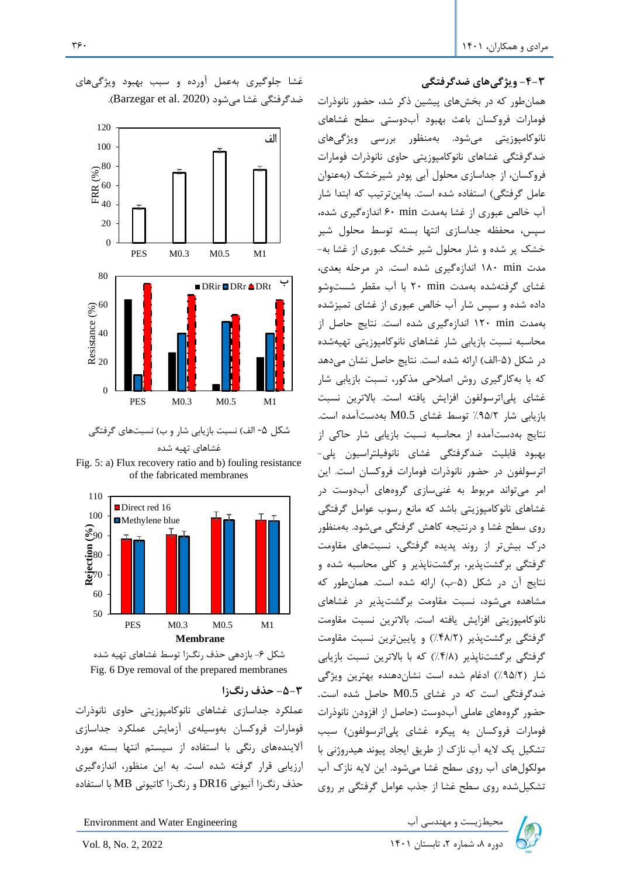#### **-4-3 ویژگیهای ضدگرفتگی**

همانطور که در بخشهای پیشین ذکر شد، حضور نانوذرات فومارات فروکسان باعث بهبود آبدوستی سطح غشاهای نانوکامپوزیتی میشود. بهمنظور بررسی ویژگیهای ضدگرفتگی غشاهای نانوکامپوزیتی حاوی نانوذرات فومارات فروکسان، از جداسازی محلول آبی پودر شیرخشک )به عنوان عامل گرفتگی) استفاده شده است. بهاینترتیب که ابتدا شار آب خالص عبوری از غشا بهمدت min 60 اندازهگیری شده، سپس، محفظه جداسازی انتها بسته توسط محلول شیر خشک پر شده و شار محلول شیر خشک عبوری از غشا به- مدت min 180 اندازهگیری شده است. در مرحله بعدی، غشای گرفتهشده بهمدت min 20 با آب مقطر شستوشو داده شده و سپس شار آب خالص عبوری از غشای تمیزشده بهمدت min 120 اندازهگیری شده است. نتایج حاصل از محاسبه نسبت بازیابی شار غشاهای نانوکامپوزیتی تهیهشده در شکل (۵-الف) ارائه شده است. نتایج حاصل نشان میدهد که با بهکارگیری روش اصالحی مذکور، نسبت بازیابی شار غشای پلیاترسولفون افزایش یافته است. باالترین نسبت بازیابی شار %95/2 توسط غشای 0.5M بهدستآمده است. نتایج بهدستآمده از محاسبه نسبت بازیابی شار حاکی از بهبود قابلیت ضدگرفتگی غشای نانوفیلتراسیون پلی- اترسولفون در حضور نانوذرات فومارات فروکسان است. این امر میتواند مربوط به غنیسازی گروههای آبدوست در غشاهای نانوکامپوزیتی باشد که مانع رسوب عوامل گرفتگی روی سطح غشا و درنتیجه کاهش گرفتگی میشود. بهمنظور درک بیشتر از روند پدیده گرفتگی، نسبتهای مقاومت گرفتگی برگشتپذیر، برگشتناپذیر و کلی محاسبه شده و نتایج آن در شکل (۵-ب) ارائه شده است. همانطور که مشاهده میشود، نسبت مقاومت برگشتپذیر در غشاهای نانوکامپوزیتی افزایش یافته است. باالترین نسبت مقاومت گرفتگی برگشتپذیر (۴۸/۲٪) و پایینترین نسبت مقاومت گرفتگی برگشتناپذیر (۴/۸٪) که با بالاترین نسبت بازیابی شار )%95/2( ادغام شده است نشاندهنده بهترین ویژگی ضدگرفتگی است که در غشای 0.5M حاصل شده است. حضور گروههای عاملی آبدوست )حاصل از افزودن نانوذرات فومارات فروکسان به پیکره غشای پلیاترسولفون( سبب تشکیل یک الیه آب نازک از طریق ایجاد پیوند هیدروژنی با مولکولهای آب روی سطح غشا میشود. این الیه نازک آب تشکیلشده روی سطح غشا از جذب عوامل گرفتگی بر روی

## غشا جلوگیری بهعمل آورده و سبب بهبود ویژگیهای ضدگرفتگی غشا می شود (Barzegar et al. 2020).



شکل ۵- الف) نسبت بازیابی شار و ب) نسبتهای گرفتگی غشاهای تهیه شده

Fig. 5: a) Flux recovery ratio and b) fouling resistance of the fabricated membranes





**-5-3 حذف رنگ زا**

عملکرد جداسازی غشاهای نانوکامپوزیتی حاوی نانوذرات فومارات فروکسان بهوسیلهی آزمایش عملکرد جداسازی آالیندههای رنگی با استفاده از سیستم انتها بسته مورد ارزیابی قرار گرفته شده است. به این منظور، اندازهگیری حذف رنگزا آنیونی 16DR و رنگزا کاتیونی MB با استفاده

محیطزیست و مهندسی آب Environment and Water Engineering  $\sim$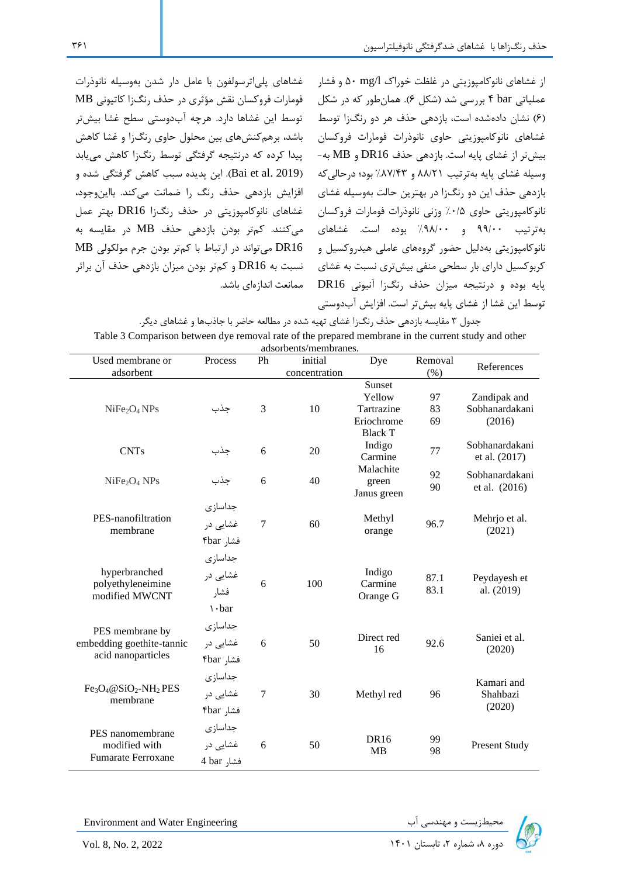غشاهای نانوکامپوزیتی حاوی نانوذرات فومارات فروکسان ) باشد، برهمکنشهای بین محلول حاوی رنگزا و غشا کاهش غشاهای پلیاترسولفون با عامل دار شدن بهوسیله نانوذرات فومارات فروکسان نقش مؤثری در حذف رنگزا کاتیونی MB توسط این غشاها دارد. هرچه آبدوستی سطح غشا بیشتر پیدا کرده که درنتیجه گرفتگی توسط رنگ زا کاهش مییابد )2019 .al et Bai). این پدیده سبب کاهش گرفتگی شده و افزایش بازدهی حذف رنگ را ضمانت می کند. بااینوجود، غشاهای نانوکامپوزیتی در حذف رنگزا 16DR بهتر عمل 16DR میتواند در ارتباط با کمتر بودن جرم مولکولی MB

از غشاهای نانوکامپوزیتی در غلظت خوراک l/mg 50 و فشار عملیاتی bar 4 بررسی شد )شکل 6(. همانطور که در شکل )6( نشان دادهشده است، بازدهی حذف هر دو رنگزا توسط بیشتر از غشای پایه است. بازدهی حذف 16DR و MB به- وسیله غشای پایه بهترتیب 88/21 و %87/43 بود؛ درحالیکه بازدهی حذف این دو رنگزا در بهترین حالت بهوسیله غشای نانوکامپوریتی حاوی %0/5 وزنی نانوذرات فومارات فروکسان بهترتیب 99/00 و %98/00 بوده است. غشاهای میکنند. کمتر بودن بازدهی حذف MB در مقایسه به نانوکامپوزیتی بهدلیل حضور گروههای عاملی هیدروکسیل و کربوکسیل دارای بار سطحی منفی بیشتری نسبت به غشای نسبت به 16DR و کمتر بودن میزان بازدهی حذف آن براثر پایه بوده و درنتیجه میزان حذف رنگزا آنیونی 16DR ممانعت اندازهای باشد. توسط این غشا از غشای پایه بیش تر است. افزایش آبدوستی

جدول 3 مقایسه بازدهی حذف رنگ زا غشای تهیه شده در مطالعه حاضر با جاذب ها و غشاهای دیگر. Table 3 Comparison between dye removal rate of the prepared membrane in the current study and other

|                                                                    |                                            |                | adsorbents/membranes.    |                                                                |                |                                          |
|--------------------------------------------------------------------|--------------------------------------------|----------------|--------------------------|----------------------------------------------------------------|----------------|------------------------------------------|
| Used membrane or<br>adsorbent                                      | Process                                    | Ph             | initial<br>concentration | Dye                                                            | Removal<br>(%) | References                               |
| NiFe <sub>2</sub> O <sub>4</sub> NPs                               | جذب                                        | 3              | 10                       | Sunset<br>Yellow<br>Tartrazine<br>Eriochrome<br><b>Black T</b> | 97<br>83<br>69 | Zandipak and<br>Sobhanardakani<br>(2016) |
| <b>CNTs</b>                                                        | جذب                                        | 6              | 20                       | Indigo<br>Carmine                                              | 77             | Sobhanardakani<br>et al. (2017)          |
| NiFe <sub>2</sub> O <sub>4</sub> NPs                               | جذب                                        | 6              | 40                       | Malachite<br>green<br>Janus green                              | 92<br>90       | Sobhanardakani<br>et al. (2016)          |
| PES-nanofiltration<br>membrane                                     | جداسازى<br>غشایی در<br>فشار ۴bar           | $\overline{7}$ | 60                       | Methyl<br>orange                                               | 96.7           | Mehrjo et al.<br>(2021)                  |
| hyperbranched<br>polyethyleneimine<br>modified MWCNT               | جداسازى<br>غشایی در<br>فشار<br>$\cdot$ bar | 6              | 100                      | Indigo<br>Carmine<br>Orange G                                  | 87.1<br>83.1   | Peydayesh et<br>al. (2019)               |
| PES membrane by<br>embedding goethite-tannic<br>acid nanoparticles | جداسازى<br>غشایی در<br>فشار ۴bar           | 6              | 50                       | Direct red<br>16                                               | 92.6           | Saniei et al.<br>(2020)                  |
| $Fe3O4@SiO2-NH2 PES$<br>membrane                                   | جداسازى<br>غشایی در<br>فشار ۴bar           | $\overline{7}$ | 30                       | Methyl red                                                     | 96             | Kamari and<br>Shahbazi<br>(2020)         |
| PES nanomembrane<br>modified with<br><b>Fumarate Ferroxane</b>     | جداسازى<br>غشایی در<br>فشا, 4 bar          | 6              | 50                       | <b>DR16</b><br><b>MB</b>                                       | 99<br>98       | <b>Present Study</b>                     |

Environment and Water Engineering

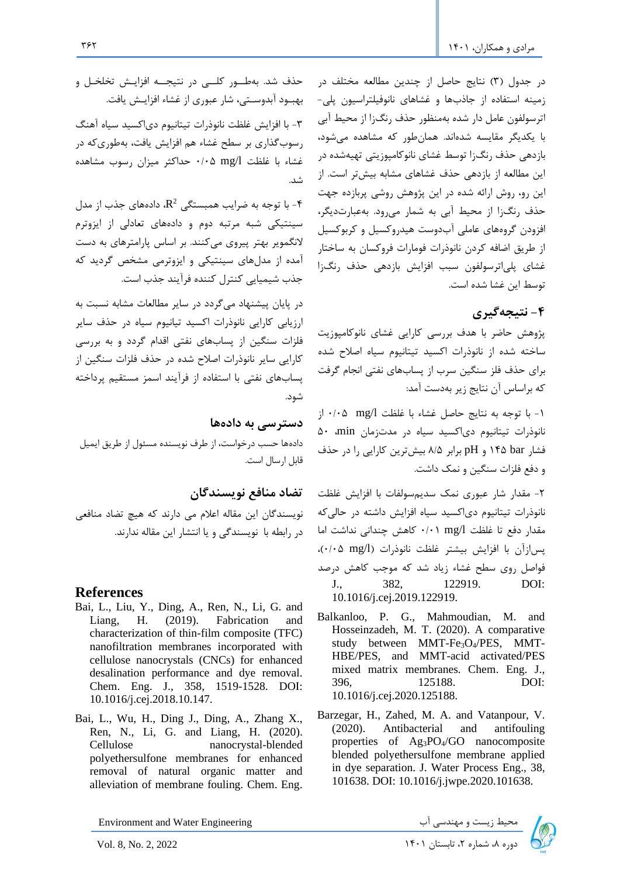در جدول )3( نتایج حاصل از چندین مطالعه مختلف در زمینه استفاده از جاذبها و غشاهای نانوفیلتراسیون پلی- اترسولفون عامل دار شده بهمنظور حذف رنگزا از محیط آبی با یکدیگر مقایسه شدهاند. همانطور که مشاهده میشود، بازدهی حذف رنگزا توسط غشای نانوکامپوزیتی تهیهشده در این مطالعه از بازدهی حذف غشاهای مشابه بیشتر است. از این رو، روش ارائه شده در این پژوهش روشی پربازده جهت حذف رنگزا از محیط آبی به شمار میرود. بهعبارتدیگر، افزودن گروههای عاملی آبدوست هیدروکسیل و کربوکسیل از طریق اضافه کردن نانوذرات فومارات فروکسان به ساختار غشای پلیاترسولفون سبب افزایش بازدهی حذف رنگزا توسط این غشا شده است.

## **-4 نتیجه گیری**

پژوهش حاضر با هدف بررسی کارایی غشای نانوکامپوزیت ساخته شده از نانوذرات اکسید تیتانیوم سیاه اصالح شده برای حذف فلز سنگین سرب از پسابهای نفتی انجام گرفت که براساس آن نتایج زیر بهدست آمد:

-1 با توجه به نتایج حاصل غشاء با غلظت l/mg 0/05 از نانوذرات تیتانیوم دیاکسید سیاه در مدتزمان min، 50 فشار bar 145 و pH برابر 8/5 بیشترین کارایی را در حذف و دفع فلزات سنگین و نمک داشت.

-2 مقدار شار عبوری نمک سدیمسولفات با افزایش غلظت نانوذرات تیتانیوم دیاکسید سیاه افزایش داشته در حالیکه مقدار دفع تا غلظت l/mg 0/01 کاهش چندانی نداشت اما پسازآن با افزایش بیشتر غلظت نانوذرات )l/mg 0/05)، فواصل روی سطح غشاء زیاد شد که موجب کاهش درصد J., 382, 122919. DOI: 10.1016/j.cej.2019.122919.

- Balkanloo, P. G., Mahmoudian, M. and Hosseinzadeh, M. T. (2020). A comparative study between MMT-Fe3O4/PES, MMT-HBE/PES, and MMT-acid activated/PES mixed matrix membranes. Chem. Eng. J., 396, 125188. DOI: 10.1016/j.cej.2020.125188.
- Barzegar, H., Zahed, M. A. and Vatanpour, V. (2020). Antibacterial and antifouling properties of Ag3PO4/GO nanocomposite blended polyethersulfone membrane applied in dye separation. J. Water Process Eng., 38, 101638. DOI: 10.1016/j.jwpe.2020.101638.

Environment and Water Engineering دوره بازیست و مهندسی آب ( Environment and Water Engineering<br>دوره ۸، شماره ۲، تابستان ۱۴۰۱ I۴۰۱ اوستان ۱۴۰۱ 2022 2, 2022 Avol. 8, No. 2, 2022

حذف شد. بهطــور کلـــی در نتیجـــه افزایـش تخلخـل و بهبهود آبدوسهتی، شار عبوری از غشاء افزایهش یافت.

-3 با افزایش غلظت نانوذرات تیتانیوم دیاکسید سیاه آهنگ رسوبگذاری بر سطح غشاء هم افزایش یافت، بهطوری که در غشاء با غلظت l/mg 0/05 حداکثر میزان رسوب مشاهده شد.

-4 با توجه به ضرایب همبستگی  $\mathbb{R}^2$  دادههای جذب از مدل $\cdot$ سینتیکی شبه مرتبه دوم و دادههای تعادلی از ایزوترم النگمویر بهتر پیروی میکنند. بر اساس پارامترهای به دست آمده از مدلهای سینتیکی و ایزوترمی مشخص گردید که جذب شیمیایی کنترل کننده فرآیند جذب است.

در پایان پیشنهاد میگردد در سایر مطالعات مشابه نسبت به ارزیابی کارایی نانوذرات اکسید تیانیوم سیاه در حذف سایر فلزات سنگین از پسابهای نفتی اقدام گردد و به بررسی کارایی سایر نانوذرات اصالح شده در حذف فلزات سنگین از پسابهای نفتی با استفاده از فرآیند اسمز مستقیم پرداخته شود.

**دسترسی به داده ها**

دادهها حسب درخواست، از طرف نویسنده مسئول از طریق ایمیل قابل ارسال است.

#### **تضاد منافع نویسندگان**

نویسندگان این مقاله اعالم می دارند که هیچ تضاد منافعی در رابطه با نویسندگی و یا انتشار این مقاله ندارند .

#### **References**

- Bai, L., Liu, Y., Ding, A., Ren, N., Li, G. and Liang, H. (2019). Fabrication and characterization of thin-film composite (TFC) nanofiltration membranes incorporated with cellulose nanocrystals (CNCs) for enhanced desalination performance and dye removal. Chem. Eng. J., 358, 1519-1528. DOI: 10.1016/j.cej.2018.10.147.
- Bai, L., Wu, H., Ding J., Ding, A., Zhang X., Ren, N., Li, G. and Liang, H. (2020). Cellulose nanocrystal-blended polyethersulfone membranes for enhanced removal of natural organic matter and alleviation of membrane fouling. Chem. Eng.

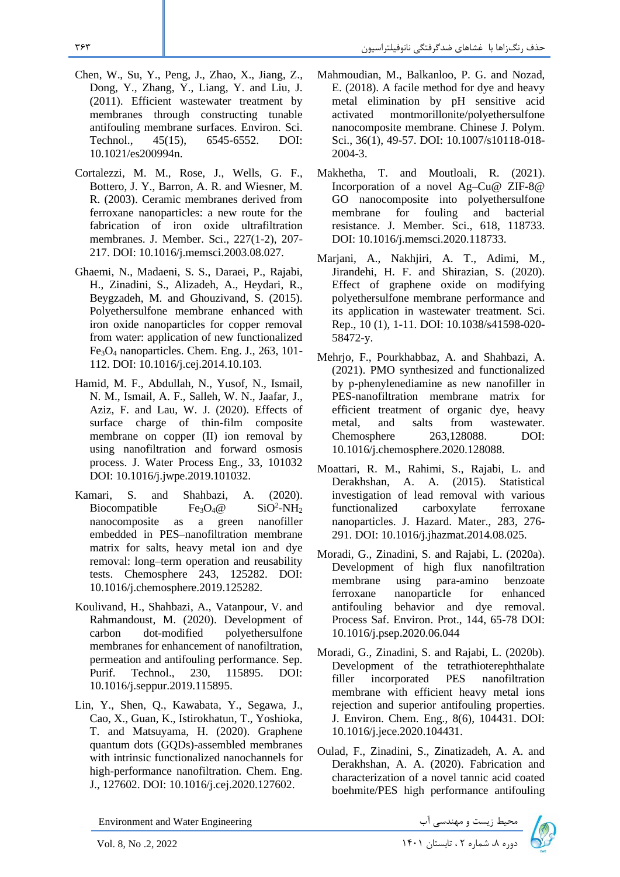- Chen, W., Su, Y., Peng, J., Zhao, X., Jiang, Z., Dong, Y., Zhang, Y., Liang, Y. and Liu, J. (2011). Efficient wastewater treatment by membranes through constructing tunable antifouling membrane surfaces. Environ. Sci. Technol., 45(15), 6545-6552. DOI: 10.1021/es200994n.
- Cortalezzi, M. M., Rose, J., Wells, G. F., Bottero, J. Y., Barron, A. R. and Wiesner, M. R. (2003). Ceramic membranes derived from ferroxane nanoparticles: a new route for the fabrication of iron oxide ultrafiltration membranes. J. Member. Sci., 227(1-2), 207- 217. DOI: 10.1016/j.memsci.2003.08.027.
- Ghaemi, N., Madaeni, S. S., Daraei, P., Rajabi, H., Zinadini, S., Alizadeh, A., Heydari, R., Beygzadeh, M. and Ghouzivand, S. (2015). Polyethersulfone membrane enhanced with iron oxide nanoparticles for copper removal from water: application of new functionalized Fe3O<sup>4</sup> nanoparticles. Chem. Eng. J., 263, 101- 112. DOI: 10.1016/j.cej.2014.10.103.
- Hamid, M. F., Abdullah, N., Yusof, N., Ismail, N. M., Ismail, A. F., Salleh, W. N., Jaafar, J., Aziz, F. and Lau, W. J. (2020). Effects of surface charge of thin-film composite membrane on copper (II) ion removal by using nanofiltration and forward osmosis process. J. Water Process Eng., 33, 101032 DOI: 10.1016/j.jwpe.2019.101032.
- Kamari, S. and Shahbazi, A. (2020). Biocompatible  $Fe_3O_4@$  $SiO<sup>2</sup>-NH<sub>2</sub>$ nanocomposite as a green nanofiller embedded in PES–nanofiltration membrane matrix for salts, heavy metal ion and dye removal: long–term operation and reusability tests. Chemosphere 243, 125282. DOI: 10.1016/j.chemosphere.2019.125282.
- Koulivand, H., Shahbazi, A., Vatanpour, V. and Rahmandoust, M. (2020). Development of carbon dot-modified polyethersulfone membranes for enhancement of nanofiltration, permeation and antifouling performance. Sep. Purif. Technol., 230, 115895. DOI: 10.1016/j.seppur.2019.115895.
- Lin, Y., Shen, Q., Kawabata, Y., Segawa, J., Cao, X., Guan, K., Istirokhatun, T., Yoshioka, T. and Matsuyama, H. (2020). Graphene quantum dots (GQDs)-assembled membranes with intrinsic functionalized nanochannels for high-performance nanofiltration. Chem. Eng. J., 127602. DOI: 10.1016/j.cej.2020.127602.
- Mahmoudian, M., Balkanloo, P. G. and Nozad, E. (2018). A facile method for dye and heavy metal elimination by pH sensitive acid activated montmorillonite/polyethersulfone nanocomposite membrane. Chinese J. Polym. Sci., 36(1), 49-57. DOI: 10.1007/s10118-018- 2004-3.
- Makhetha, T. and Moutloali, R. (2021). Incorporation of a novel Ag–Cu@ ZIF-8@ GO nanocomposite into polyethersulfone membrane for fouling and bacterial resistance. J. Member. Sci., 618, 118733. DOI: 10.1016/j.memsci.2020.118733.
- Marjani, A., Nakhjiri, A. T., Adimi, M., Jirandehi, H. F. and Shirazian, S. (2020). Effect of graphene oxide on modifying polyethersulfone membrane performance and its application in wastewater treatment. Sci. Rep., 10 (1), 1-11. DOI: 10.1038/s41598-020- 58472-y.
- Mehrjo, F., Pourkhabbaz, A. and Shahbazi, A. (2021). PMO synthesized and functionalized by p-phenylenediamine as new nanofiller in PES-nanofiltration membrane matrix for efficient treatment of organic dye, heavy metal, and salts from wastewater. Chemosphere 263,128088. DOI: 10.1016/j.chemosphere.2020.128088.
- Moattari, R. M., Rahimi, S., Rajabi, L. and Derakhshan, A. A. (2015). Statistical investigation of lead removal with various functionalized carboxylate ferroxane nanoparticles. J. Hazard. Mater., 283, 276- 291. DOI: 10.1016/j.jhazmat.2014.08.025.
- Moradi, G., Zinadini, S. and Rajabi, L. (2020a). Development of high flux nanofiltration membrane using para-amino benzoate ferroxane nanoparticle for enhanced antifouling behavior and dye removal. Process Saf. Environ. Prot., 144, 65-78 DOI: 10.1016/j.psep.2020.06.044
- Moradi, G., Zinadini, S. and Rajabi, L. (2020b). Development of the tetrathioterephthalate filler incorporated PES nanofiltration membrane with efficient heavy metal ions rejection and superior antifouling properties. J. Environ. Chem. Eng., 8(6), 104431. DOI: 10.1016/j.jece.2020.104431.
- Oulad, F., Zinadini, S., Zinatizadeh, A. A. and Derakhshan, A. A. (2020). Fabrication and characterization of a novel tannic acid coated boehmite/PES high performance antifouling

Environment and Water Engineering دوره به شماره توره مهندسی آب سال 1401 Environment and Water Engineering<br>اوره ۸، شماره ۲ ، تابستان ۱۴۰۱ .